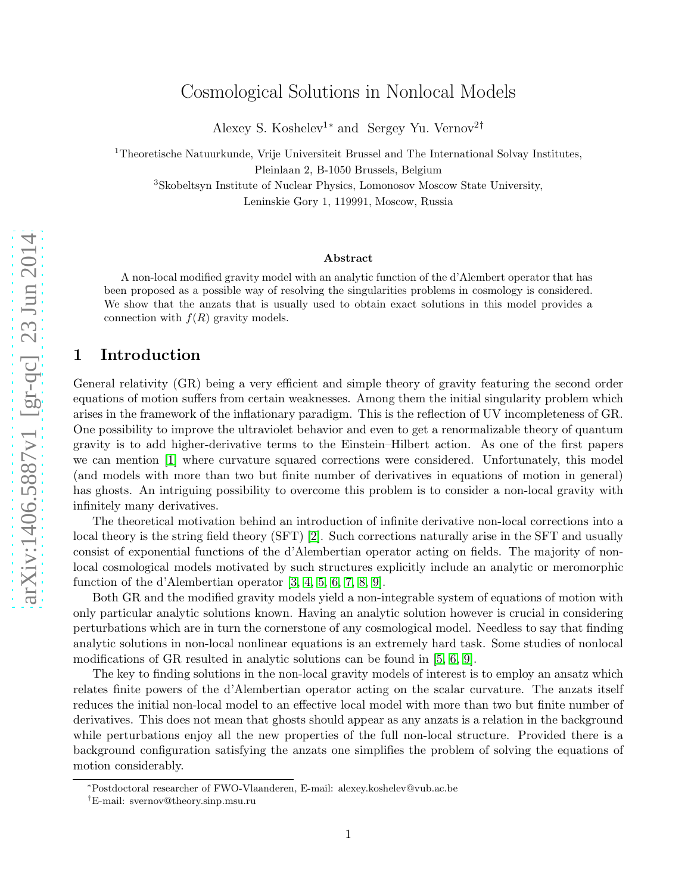# Cosmological Solutions in Nonlocal Models

Alexey S. Koshelev<sup>1\*</sup> and Sergey Yu. Vernov<sup>2†</sup>

<sup>1</sup>Theoretische Natuurkunde, Vrije Universiteit Brussel and The International Solvay Institutes, Pleinlaan 2, B-1050 Brussels, Belgium

<sup>3</sup>Skobeltsyn Institute of Nuclear Physics, Lomonosov Moscow State University,

Leninskie Gory 1, 119991, Moscow, Russia

#### Abstract

A non-local modified gravity model with an analytic function of the d'Alembert operator that has been proposed as a possible way of resolving the singularities problems in cosmology is considered. We show that the anzats that is usually used to obtain exact solutions in this model provides a connection with  $f(R)$  gravity models.

### 1 Introduction

General relativity (GR) being a very efficient and simple theory of gravity featuring the second order equations of motion suffers from certain weaknesses. Among them the initial singularity problem which arises in the framework of the inflationary paradigm. This is the reflection of UV incompleteness of GR. One possibility to improve the ultraviolet behavior and even to get a renormalizable theory of quantum gravity is to add higher-derivative terms to the Einstein–Hilbert action. As one of the first papers we can mention [\[1\]](#page-3-0) where curvature squared corrections were considered. Unfortunately, this model (and models with more than two but finite number of derivatives in equations of motion in general) has ghosts. An intriguing possibility to overcome this problem is to consider a non-local gravity with infinitely many derivatives.

The theoretical motivation behind an introduction of infinite derivative non-local corrections into a local theory is the string field theory (SFT) [\[2\]](#page-3-1). Such corrections naturally arise in the SFT and usually consist of exponential functions of the d'Alembertian operator acting on fields. The majority of nonlocal cosmological models motivated by such structures explicitly include an analytic or meromorphic function of the d'Alembertian operator [\[3,](#page-3-2) [4,](#page-3-3) [5,](#page-4-0) [6,](#page-4-1) [7,](#page-4-2) [8,](#page-4-3) [9\]](#page-4-4).

Both GR and the modified gravity models yield a non-integrable system of equations of motion with only particular analytic solutions known. Having an analytic solution however is crucial in considering perturbations which are in turn the cornerstone of any cosmological model. Needless to say that finding analytic solutions in non-local nonlinear equations is an extremely hard task. Some studies of nonlocal modifications of GR resulted in analytic solutions can be found in [\[5,](#page-4-0) [6,](#page-4-1) [9\]](#page-4-4).

The key to finding solutions in the non-local gravity models of interest is to employ an ansatz which relates finite powers of the d'Alembertian operator acting on the scalar curvature. The anzats itself reduces the initial non-local model to an effective local model with more than two but finite number of derivatives. This does not mean that ghosts should appear as any anzats is a relation in the background while perturbations enjoy all the new properties of the full non-local structure. Provided there is a background configuration satisfying the anzats one simplifies the problem of solving the equations of motion considerably.

<sup>∗</sup>Postdoctoral researcher of FWO-Vlaanderen, E-mail: alexey.koshelev@vub.ac.be

<sup>†</sup>E-mail: svernov@theory.sinp.msu.ru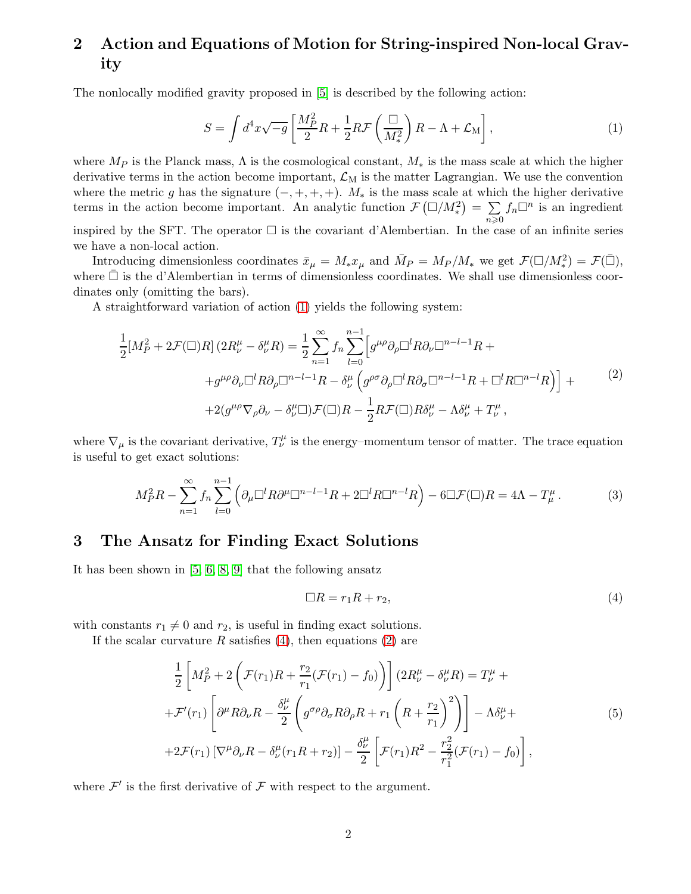# 2 Action and Equations of Motion for String-inspired Non-local Gravity

The nonlocally modified gravity proposed in [\[5\]](#page-4-0) is described by the following action:

<span id="page-1-0"></span>
$$
S = \int d^4x \sqrt{-g} \left[ \frac{M_P^2}{2} R + \frac{1}{2} R \mathcal{F} \left( \frac{\Box}{M_*^2} \right) R - \Lambda + \mathcal{L}_M \right],\tag{1}
$$

where  $M_P$  is the Planck mass,  $\Lambda$  is the cosmological constant,  $M_*$  is the mass scale at which the higher derivative terms in the action become important,  $\mathcal{L}_{M}$  is the matter Lagrangian. We use the convention where the metric g has the signature  $(-, +, +, +)$ .  $M_*$  is the mass scale at which the higher derivative terms in the action become important. An analytic function  $\mathcal{F}(\Box/M_*)^2 = \sum_{n=1}^\infty$  $n\geqslant 0$  $f_n\Box^n$  is an ingredient inspired by the SFT. The operator  $\Box$  is the covariant d'Alembertian. In the case of an infinite series

we have a non-local action.

Introducing dimensionless coordinates  $\bar{x}_{\mu} = M_{*}x_{\mu}$  and  $\bar{M}_{P} = M_{P}/M_{*}$  we get  $\mathcal{F}(\Box/M_{*}^{2}) = \mathcal{F}(\bar{\Box}),$ where  $\square$  is the d'Alembertian in terms of dimensionless coordinates. We shall use dimensionless coordinates only (omitting the bars).

A straightforward variation of action [\(1\)](#page-1-0) yields the following system:

<span id="page-1-2"></span>
$$
\frac{1}{2}[M_P^2 + 2\mathcal{F}(\square)R](2R_\nu^\mu - \delta_\nu^\mu R) = \frac{1}{2}\sum_{n=1}^\infty f_n \sum_{l=0}^{n-1} \left[g^{\mu\rho}\partial_\rho\square^l R\partial_\nu\square^{n-l-1}R ++g^{\mu\rho}\partial_\nu\square^l R\partial_\rho\square^{n-l-1}R - \delta_\nu^\mu\left(g^{\rho\sigma}\partial_\rho\square^l R\partial_\sigma\square^{n-l-1}R + \square^l R\square^{n-l}R\right)\right] ++2(g^{\mu\rho}\nabla_\rho\partial_\nu - \delta_\nu^\mu\square)\mathcal{F}(\square)R - \frac{1}{2}R\mathcal{F}(\square)R\delta_\nu^\mu - \Lambda\delta_\nu^\mu + T_\nu^\mu,
$$
\n(2)

where  $\nabla_{\mu}$  is the covariant derivative,  $T^{\mu}_{\nu}$  is the energy–momentum tensor of matter. The trace equation is useful to get exact solutions:

$$
M_P^2 R - \sum_{n=1}^{\infty} f_n \sum_{l=0}^{n-1} \left( \partial_{\mu} \Box^l R \partial^{\mu} \Box^{n-l-1} R + 2 \Box^l R \Box^{n-l} R \right) - 6 \Box \mathcal{F} (\Box) R = 4\Lambda - T_{\mu}^{\mu}.
$$
 (3)

### 3 The Ansatz for Finding Exact Solutions

It has been shown in [\[5,](#page-4-0) [6,](#page-4-1) [8,](#page-4-3) [9\]](#page-4-4) that the following ansatz

<span id="page-1-1"></span>
$$
\Box R = r_1 R + r_2,\tag{4}
$$

with constants  $r_1 \neq 0$  and  $r_2$ , is useful in finding exact solutions.

If the scalar curvature R satisfies [\(4\)](#page-1-1), then equations [\(2\)](#page-1-2) are

$$
\frac{1}{2}\left[M_P^2 + 2\left(\mathcal{F}(r_1)R + \frac{r_2}{r_1}(\mathcal{F}(r_1) - f_0)\right)\right](2R_V^\mu - \delta_V^\mu R) = T_V^\mu +
$$
\n
$$
+ \mathcal{F}'(r_1)\left[\partial^\mu R\partial_\nu R - \frac{\delta_V^\mu}{2}\left(g^{\sigma\rho}\partial_\sigma R\partial_\rho R + r_1\left(R + \frac{r_2}{r_1}\right)^2\right)\right] - \Lambda \delta_V^\mu +
$$
\n
$$
+ 2\mathcal{F}(r_1)\left[\nabla^\mu\partial_\nu R - \delta_\nu^\mu(r_1R + r_2)\right] - \frac{\delta_V^\mu}{2}\left[\mathcal{F}(r_1)R^2 - \frac{r_2^2}{r_1^2}(\mathcal{F}(r_1) - f_0)\right],
$$
\n(5)

<span id="page-1-3"></span>where  $\mathcal{F}'$  is the first derivative of  $\mathcal F$  with respect to the argument.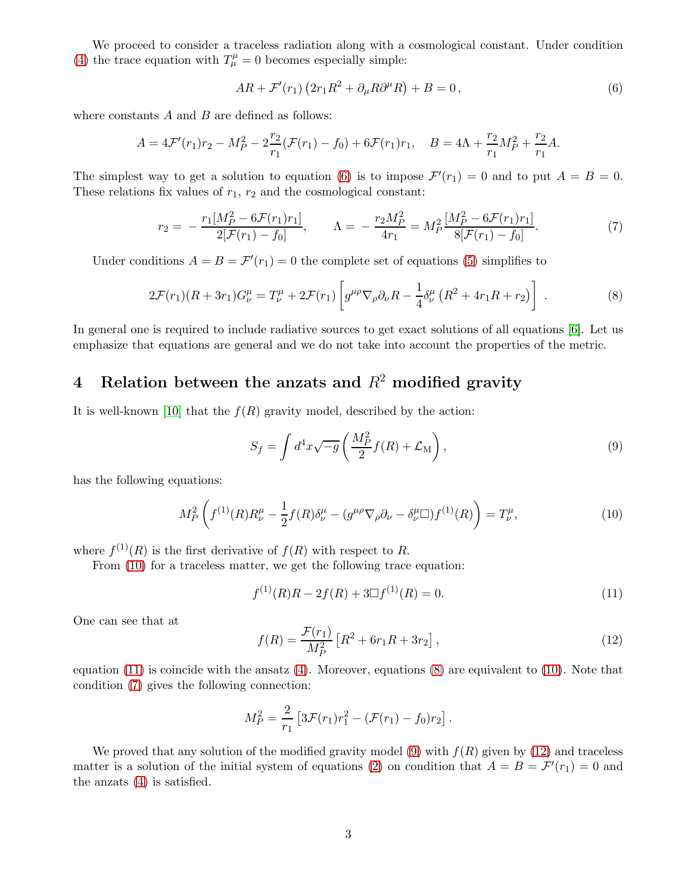We proceed to consider a traceless radiation along with a cosmological constant. Under condition [\(4\)](#page-1-1) the trace equation with  $T^{\mu}_{\mu} = 0$  becomes especially simple:

<span id="page-2-0"></span>
$$
AR + \mathcal{F}'(r_1) \left(2r_1R^2 + \partial_\mu R\partial^\mu R\right) + B = 0, \qquad (6)
$$

where constants  $A$  and  $B$  are defined as follows:

$$
A = 4\mathcal{F}'(r_1)r_2 - M_P^2 - 2\frac{r_2}{r_1}(\mathcal{F}(r_1) - f_0) + 6\mathcal{F}(r_1)r_1, \quad B = 4\Lambda + \frac{r_2}{r_1}M_P^2 + \frac{r_2}{r_1}A.
$$

The simplest way to get a solution to equation [\(6\)](#page-2-0) is to impose  $\mathcal{F}'(r_1) = 0$  and to put  $A = B = 0$ . These relations fix values of  $r_1$ ,  $r_2$  and the cosmological constant:

<span id="page-2-4"></span>
$$
r_2 = -\frac{r_1[M_P^2 - 6\mathcal{F}(r_1)r_1]}{2[\mathcal{F}(r_1) - f_0]}, \qquad \Lambda = -\frac{r_2M_P^2}{4r_1} = M_P^2 \frac{[M_P^2 - 6\mathcal{F}(r_1)r_1]}{8[\mathcal{F}(r_1) - f_0]}.
$$
(7)

Under conditions  $A = B = \mathcal{F}'(r_1) = 0$  the complete set of equations [\(5\)](#page-1-3) simplifies to

$$
2\mathcal{F}(r_1)(R+3r_1)G^{\mu}_{\nu} = T^{\mu}_{\nu} + 2\mathcal{F}(r_1) \left[ g^{\mu\rho}\nabla_{\rho}\partial_{\nu}R - \frac{1}{4}\delta^{\mu}_{\nu}\left(R^2 + 4r_1R + r_2\right) \right] \ . \tag{8}
$$

<span id="page-2-3"></span>In general one is required to include radiative sources to get exact solutions of all equations [\[6\]](#page-4-1). Let us emphasize that equations are general and we do not take into account the properties of the metric.

### 4 Relation between the anzats and  $R^2$  modified gravity

It is well-known [\[10\]](#page-4-5) that the  $f(R)$  gravity model, described by the action:

<span id="page-2-5"></span>
$$
S_f = \int d^4x \sqrt{-g} \left( \frac{M_P^2}{2} f(R) + \mathcal{L}_M \right),\tag{9}
$$

has the following equations:

<span id="page-2-1"></span>
$$
M_P^2 \left( f^{(1)}(R) R_\nu^\mu - \frac{1}{2} f(R) \delta_\nu^\mu - (g^{\mu \rho} \nabla_\rho \partial_\nu - \delta_\nu^\mu \Box) f^{(1)}(R) \right) = T_\nu^\mu, \tag{10}
$$

where  $f^{(1)}(R)$  is the first derivative of  $f(R)$  with respect to R.

From  $(10)$  for a traceless matter, we get the following trace equation:

<span id="page-2-2"></span>
$$
f^{(1)}(R)R - 2f(R) + 3\Box f^{(1)}(R) = 0.
$$
\n(11)

One can see that at

<span id="page-2-6"></span>
$$
f(R) = \frac{\mathcal{F}(r_1)}{M_P^2} \left[ R^2 + 6r_1R + 3r_2 \right],
$$
\n(12)

equation  $(11)$  is coincide with the ansatz  $(4)$ . Moreover, equations  $(8)$  are equivalent to  $(10)$ . Note that condition [\(7\)](#page-2-4) gives the following connection:

$$
M_P^2 = \frac{2}{r_1} \left[ 3\mathcal{F}(r_1)r_1^2 - (\mathcal{F}(r_1) - f_0)r_2 \right].
$$

We proved that any solution of the modified gravity model [\(9\)](#page-2-5) with  $f(R)$  given by [\(12\)](#page-2-6) and traceless matter is a solution of the initial system of equations [\(2\)](#page-1-2) on condition that  $A = B = \mathcal{F}'(r_1) = 0$  and the anzats [\(4\)](#page-1-1) is satisfied.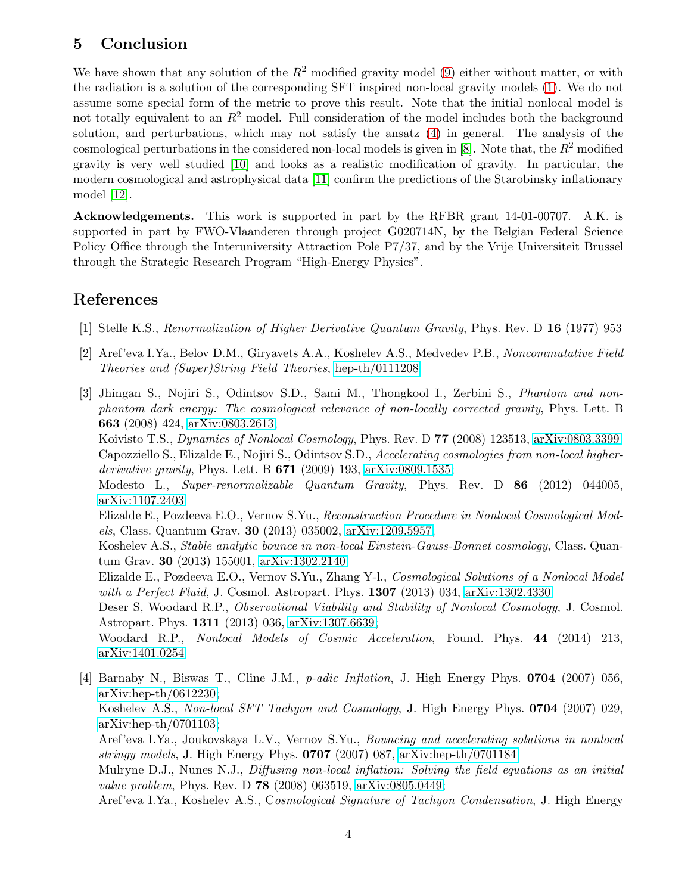### 5 Conclusion

We have shown that any solution of the  $R^2$  modified gravity model [\(9\)](#page-2-5) either without matter, or with the radiation is a solution of the corresponding SFT inspired non-local gravity models [\(1\)](#page-1-0). We do not assume some special form of the metric to prove this result. Note that the initial nonlocal model is not totally equivalent to an  $R^2$  model. Full consideration of the model includes both the background solution, and perturbations, which may not satisfy the ansatz [\(4\)](#page-1-1) in general. The analysis of the cosmological perturbations in the considered non-local models is given in [\[8\]](#page-4-3). Note that, the  $R^2$  modified gravity is very well studied [\[10\]](#page-4-5) and looks as a realistic modification of gravity. In particular, the modern cosmological and astrophysical data [\[11\]](#page-4-6) confirm the predictions of the Starobinsky inflationary model [\[12\]](#page-4-7).

Acknowledgements. This work is supported in part by the RFBR grant 14-01-00707. A.K. is supported in part by FWO-Vlaanderen through project G020714N, by the Belgian Federal Science Policy Office through the Interuniversity Attraction Pole P7/37, and by the Vrije Universiteit Brussel through the Strategic Research Program "High-Energy Physics".

### <span id="page-3-0"></span>References

- <span id="page-3-1"></span>[1] Stelle K.S., Renormalization of Higher Derivative Quantum Gravity, Phys. Rev. D 16 (1977) 953
- [2] Aref'eva I.Ya., Belov D.M., Giryavets A.A., Koshelev A.S., Medvedev P.B., Noncommutative Field Theories and (Super)String Field Theories, [hep-th/0111208](http://arxiv.org/abs/hep-th/0111208)
- <span id="page-3-2"></span>[3] Jhingan S., Nojiri S., Odintsov S.D., Sami M., Thongkool I., Zerbini S., Phantom and nonphantom dark energy: The cosmological relevance of non-locally corrected gravity, Phys. Lett. B 663 (2008) 424, [arXiv:0803.2613;](http://arxiv.org/abs/0803.2613)

Koivisto T.S., Dynamics of Nonlocal Cosmology, Phys. Rev. D 77 (2008) 123513, [arXiv:0803.3399;](http://arxiv.org/abs/0803.3399) Capozziello S., Elizalde E., Nojiri S., Odintsov S.D., Accelerating cosmologies from non-local higher*derivative gravity*, Phys. Lett. B  $671$  (2009) 193, [arXiv:0809.1535;](http://arxiv.org/abs/0809.1535)

Modesto L., Super-renormalizable Quantum Gravity, Phys. Rev. D 86 (2012) 044005, [arXiv:1107.2403](http://arxiv.org/abs/1107.2403)

Elizalde E., Pozdeeva E.O., Vernov S.Yu., Reconstruction Procedure in Nonlocal Cosmological Models, Class. Quantum Grav. 30 (2013) 035002, [arXiv:1209.5957;](http://arxiv.org/abs/1209.5957)

Koshelev A.S., Stable analytic bounce in non-local Einstein-Gauss-Bonnet cosmology, Class. Quantum Grav. 30 (2013) 155001, [arXiv:1302.2140;](http://arxiv.org/abs/1302.2140)

Elizalde E., Pozdeeva E.O., Vernov S.Yu., Zhang Y-l., Cosmological Solutions of a Nonlocal Model with a Perfect Fluid, J. Cosmol. Astropart. Phys.  $1307$  (2013) 034, [arXiv:1302.4330](http://arxiv.org/abs/1302.4330)

Deser S, Woodard R.P., *Observational Viability and Stability of Nonlocal Cosmology*, J. Cosmol. Astropart. Phys. 1311 (2013) 036, [arXiv:1307.6639;](http://arxiv.org/abs/1307.6639)

Woodard R.P., Nonlocal Models of Cosmic Acceleration, Found. Phys. 44 (2014) 213, [arXiv:1401.0254](http://arxiv.org/abs/1401.0254)

<span id="page-3-3"></span>[4] Barnaby N., Biswas T., Cline J.M., p-adic Inflation, J. High Energy Phys. 0704 (2007) 056, [arXiv:hep-th/0612230;](http://arxiv.org/abs/hep-th/0612230) Koshelev A.S., Non-local SFT Tachyon and Cosmology, J. High Energy Phys. 0704 (2007) 029, [arXiv:hep-th/0701103;](http://arxiv.org/abs/hep-th/0701103) Aref'eva I.Ya., Joukovskaya L.V., Vernov S.Yu., Bouncing and accelerating solutions in nonlocal stringy models, J. High Energy Phys.  $0707$  (2007) 087, [arXiv:hep-th/0701184;](http://arxiv.org/abs/hep-th/0701184) Mulryne D.J., Nunes N.J., *Diffusing non-local inflation: Solving the field equations as an initial* value problem, Phys. Rev. D 78 (2008) 063519, [arXiv:0805.0449;](http://arxiv.org/abs/0805.0449) Aref'eva I.Ya., Koshelev A.S., Cosmological Signature of Tachyon Condensation, J. High Energy